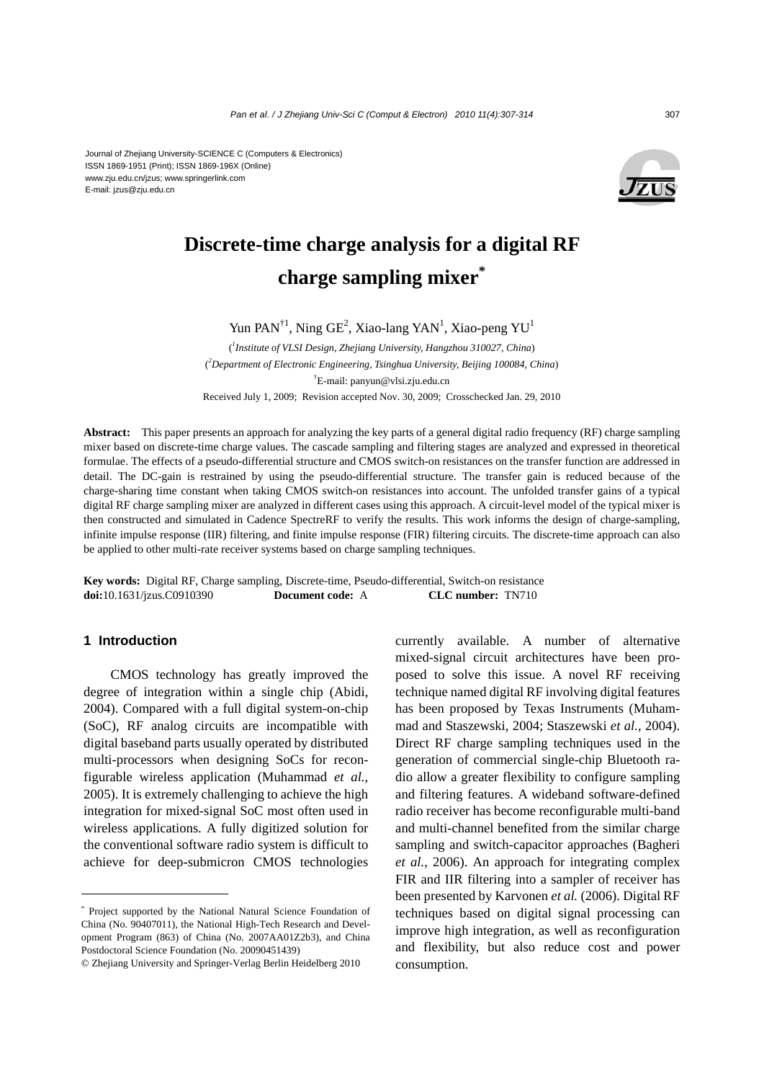Journal of Zhejiang University-SCIENCE C (Computers & Electronics) ISSN 1869-1951 (Print); ISSN 1869-196X (Online) www.zju.edu.cn/jzus; www.springerlink.com E-mail: jzus@zju.edu.cn



# **Discrete-time charge analysis for a digital RF charge sampling mixer\***

Yun PAN<sup>†1</sup>, Ning GE<sup>2</sup>, Xiao-lang YAN<sup>1</sup>, Xiao-peng YU<sup>1</sup>

( *1 Institute of VLSI Design, Zhejiang University, Hangzhou 310027, China*) ( *2 Department of Electronic Engineering, Tsinghua University, Beijing 100084, China*) † E-mail: panyun@vlsi.zju.edu.cn Received July 1, 2009; Revision accepted Nov. 30, 2009; Crosschecked Jan. 29, 2010

**Abstract:** This paper presents an approach for analyzing the key parts of a general digital radio frequency (RF) charge sampling mixer based on discrete-time charge values. The cascade sampling and filtering stages are analyzed and expressed in theoretical formulae. The effects of a pseudo-differential structure and CMOS switch-on resistances on the transfer function are addressed in detail. The DC-gain is restrained by using the pseudo-differential structure. The transfer gain is reduced because of the charge-sharing time constant when taking CMOS switch-on resistances into account. The unfolded transfer gains of a typical digital RF charge sampling mixer are analyzed in different cases using this approach. A circuit-level model of the typical mixer is then constructed and simulated in Cadence SpectreRF to verify the results. This work informs the design of charge-sampling, infinite impulse response (IIR) filtering, and finite impulse response (FIR) filtering circuits. The discrete-time approach can also be applied to other multi-rate receiver systems based on charge sampling techniques.

**Key words:** Digital RF, Charge sampling, Discrete-time, Pseudo-differential, Switch-on resistance **doi:**10.1631/jzus.C0910390 **Document code:** A **CLC number:** TN710

## **1 Introduction**

CMOS technology has greatly improved the degree of integration within a single chip (Abidi, 2004). Compared with a full digital system-on-chip (SoC), RF analog circuits are incompatible with digital baseband parts usually operated by distributed multi-processors when designing SoCs for reconfigurable wireless application (Muhammad *et al.*, 2005). It is extremely challenging to achieve the high integration for mixed-signal SoC most often used in wireless applications. A fully digitized solution for the conventional software radio system is difficult to achieve for deep-submicron CMOS technologies currently available. A number of alternative mixed-signal circuit architectures have been proposed to solve this issue. A novel RF receiving technique named digital RF involving digital features has been proposed by Texas Instruments (Muhammad and Staszewski, 2004; Staszewski *et al.*, 2004). Direct RF charge sampling techniques used in the generation of commercial single-chip Bluetooth radio allow a greater flexibility to configure sampling and filtering features. A wideband software-defined radio receiver has become reconfigurable multi-band and multi-channel benefited from the similar charge sampling and switch-capacitor approaches (Bagheri *et al.*, 2006). An approach for integrating complex FIR and IIR filtering into a sampler of receiver has been presented by Karvonen *et al.* (2006). Digital RF techniques based on digital signal processing can improve high integration, as well as reconfiguration and flexibility, but also reduce cost and power consumption.

<sup>\*</sup> Project supported by the National Natural Science Foundation of China (No. 90407011), the National High-Tech Research and Development Program (863) of China (No. 2007AA01Z2b3), and China Postdoctoral Science Foundation (No. 20090451439)

<sup>©</sup> Zhejiang University and Springer-Verlag Berlin Heidelberg 2010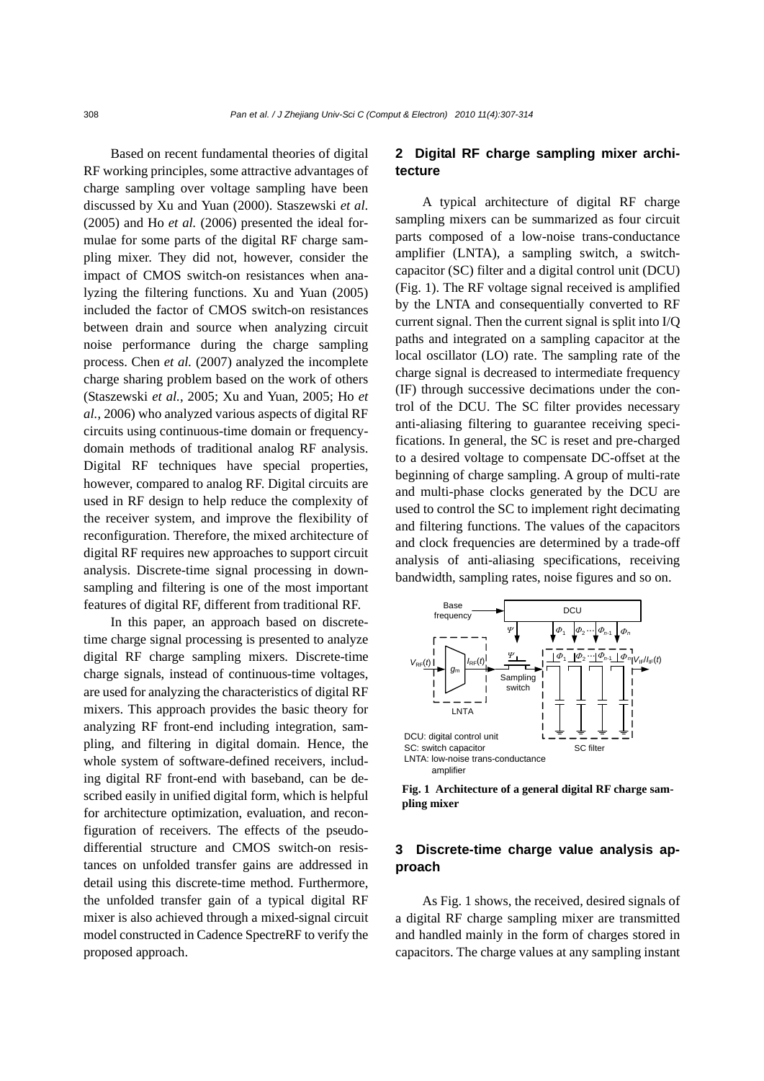Based on recent fundamental theories of digital RF working principles, some attractive advantages of charge sampling over voltage sampling have been discussed by Xu and Yuan (2000). Staszewski *et al*. (2005) and Ho *et al.* (2006) presented the ideal formulae for some parts of the digital RF charge sampling mixer. They did not, however, consider the impact of CMOS switch-on resistances when analyzing the filtering functions. Xu and Yuan (2005) included the factor of CMOS switch-on resistances between drain and source when analyzing circuit noise performance during the charge sampling process. Chen *et al.* (2007) analyzed the incomplete charge sharing problem based on the work of others (Staszewski *et al.*, 2005; Xu and Yuan, 2005; Ho *et al.*, 2006) who analyzed various aspects of digital RF circuits using continuous-time domain or frequencydomain methods of traditional analog RF analysis. Digital RF techniques have special properties, however, compared to analog RF. Digital circuits are used in RF design to help reduce the complexity of the receiver system, and improve the flexibility of reconfiguration. Therefore, the mixed architecture of digital RF requires new approaches to support circuit analysis. Discrete-time signal processing in downsampling and filtering is one of the most important features of digital RF, different from traditional RF.

In this paper, an approach based on discretetime charge signal processing is presented to analyze digital RF charge sampling mixers. Discrete-time charge signals, instead of continuous-time voltages, are used for analyzing the characteristics of digital RF mixers. This approach provides the basic theory for analyzing RF front-end including integration, sampling, and filtering in digital domain. Hence, the whole system of software-defined receivers, including digital RF front-end with baseband, can be described easily in unified digital form, which is helpful for architecture optimization, evaluation, and reconfiguration of receivers. The effects of the pseudodifferential structure and CMOS switch-on resistances on unfolded transfer gains are addressed in detail using this discrete-time method. Furthermore, the unfolded transfer gain of a typical digital RF mixer is also achieved through a mixed-signal circuit model constructed in Cadence SpectreRF to verify the proposed approach.

# **2 Digital RF charge sampling mixer architecture**

A typical architecture of digital RF charge sampling mixers can be summarized as four circuit parts composed of a low-noise trans-conductance amplifier (LNTA), a sampling switch, a switchcapacitor (SC) filter and a digital control unit (DCU) (Fig. 1). The RF voltage signal received is amplified by the LNTA and consequentially converted to RF current signal. Then the current signal is split into I/Q paths and integrated on a sampling capacitor at the local oscillator (LO) rate. The sampling rate of the charge signal is decreased to intermediate frequency (IF) through successive decimations under the control of the DCU. The SC filter provides necessary anti-aliasing filtering to guarantee receiving specifications. In general, the SC is reset and pre-charged to a desired voltage to compensate DC-offset at the beginning of charge sampling. A group of multi-rate and multi-phase clocks generated by the DCU are used to control the SC to implement right decimating and filtering functions. The values of the capacitors and clock frequencies are determined by a trade-off analysis of anti-aliasing specifications, receiving bandwidth, sampling rates, noise figures and so on.



**Fig. 1 Architecture of a general digital RF charge sampling mixer** 

# **3 Discrete-time charge value analysis approach**

As Fig. 1 shows, the received, desired signals of a digital RF charge sampling mixer are transmitted and handled mainly in the form of charges stored in capacitors. The charge values at any sampling instant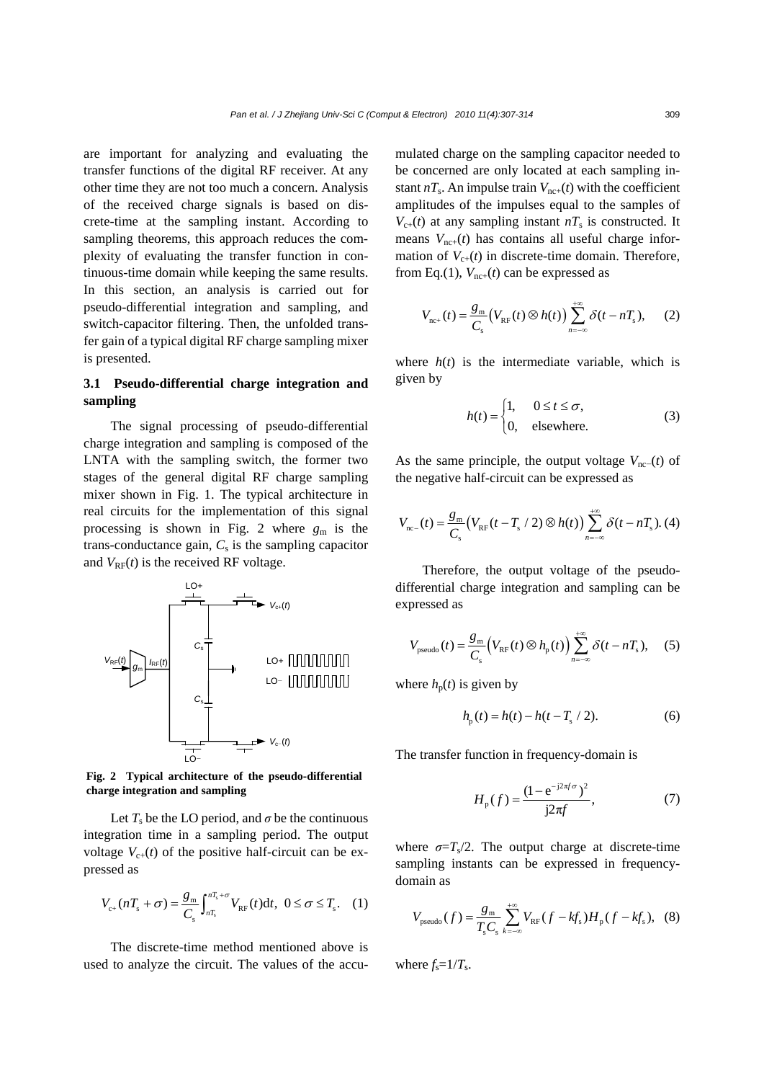are important for analyzing and evaluating the transfer functions of the digital RF receiver. At any other time they are not too much a concern. Analysis of the received charge signals is based on discrete-time at the sampling instant. According to sampling theorems, this approach reduces the complexity of evaluating the transfer function in continuous-time domain while keeping the same results. In this section, an analysis is carried out for pseudo-differential integration and sampling, and switch-capacitor filtering. Then, the unfolded transfer gain of a typical digital RF charge sampling mixer is presented.

## **3.1 Pseudo-differential charge integration and sampling**

The signal processing of pseudo-differential charge integration and sampling is composed of the LNTA with the sampling switch, the former two stages of the general digital RF charge sampling mixer shown in Fig. 1. The typical architecture in real circuits for the implementation of this signal processing is shown in Fig. 2 where  $g_m$  is the trans-conductance gain,  $C_s$  is the sampling capacitor and  $V_{RF}(t)$  is the received RF voltage.



**Fig. 2 Typical architecture of the pseudo-differential charge integration and sampling** 

Let  $T_s$  be the LO period, and  $\sigma$  be the continuous integration time in a sampling period. The output voltage  $V_{c+}(t)$  of the positive half-circuit can be expressed as

$$
V_{c+}(nT_{s} + \sigma) = \frac{g_{\rm m}}{C_{s}} \int_{nT_{s}}^{nT_{s} + \sigma} V_{\rm RF}(t) \mathrm{d}t, \ 0 \le \sigma \le T_{s}. \quad (1)
$$

The discrete-time method mentioned above is used to analyze the circuit. The values of the accumulated charge on the sampling capacitor needed to be concerned are only located at each sampling instant  $n_s$ . An impulse train  $V_{\text{nc}+}(t)$  with the coefficient amplitudes of the impulses equal to the samples of  $V_{c+}(t)$  at any sampling instant  $nT_s$  is constructed. It means  $V_{\text{nc+}}(t)$  has contains all useful charge information of  $V_{c+}(t)$  in discrete-time domain. Therefore, from Eq.(1),  $V_{nc+}(t)$  can be expressed as

$$
V_{\text{nc+}}(t) = \frac{g_{\text{m}}}{C_{\text{s}}}\left(V_{\text{RF}}(t)\otimes h(t)\right) \sum_{n=-\infty}^{+\infty} \delta(t - nT_{\text{s}}), \quad (2)
$$

where  $h(t)$  is the intermediate variable, which is given by

$$
h(t) = \begin{cases} 1, & 0 \le t \le \sigma, \\ 0, & \text{elsewhere.} \end{cases}
$$
 (3)

As the same principle, the output voltage  $V_{\text{nc}−}(t)$  of the negative half-circuit can be expressed as

$$
V_{\text{nc-}}(t) = \frac{g_{\text{m}}}{C_{\text{s}}}(V_{\text{RF}}(t - T_{\text{s}} / 2) \otimes h(t)) \sum_{n=-\infty}^{+\infty} \delta(t - nT_{\text{s}}).
$$
 (4)

Therefore, the output voltage of the pseudodifferential charge integration and sampling can be expressed as

$$
V_{\text{pseudo}}(t) = \frac{g_{\text{m}}}{C_{\text{s}}} \Big( V_{\text{RF}}(t) \otimes h_{\text{p}}(t) \Big) \sum_{n=-\infty}^{+\infty} \delta(t - n_s), \quad (5)
$$

where  $h_p(t)$  is given by

$$
h_{p}(t) = h(t) - h(t - T_{s} / 2). \tag{6}
$$

The transfer function in frequency-domain is

$$
H_{\rm p}(f) = \frac{(1 - e^{-j2\pi f \sigma})^2}{j2\pi f},
$$
\n(7)

where  $\sigma = T_s/2$ . The output charge at discrete-time sampling instants can be expressed in frequencydomain as

$$
V_{\text{pseudo}}(f) = \frac{g_{\text{m}}}{T_{\text{s}}C_{\text{s}}} \sum_{k=-\infty}^{+\infty} V_{\text{RF}}(f - kf_{\text{s}})H_{\text{p}}(f - kf_{\text{s}}), \quad (8)
$$

where  $f_s = 1/T_s$ .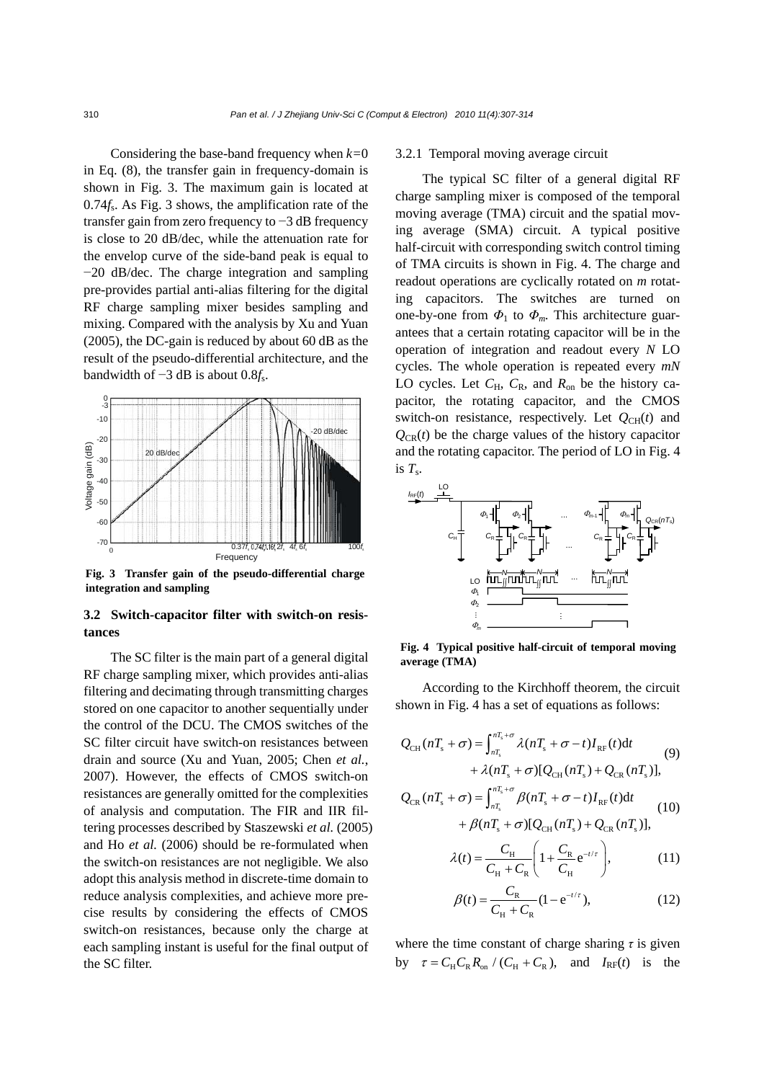Considering the base-band frequency when *k=*0 in Eq. (8), the transfer gain in frequency-domain is shown in Fig. 3. The maximum gain is located at 0.74*f<sub>s</sub>*. As Fig. 3 shows, the amplification rate of the transfer gain from zero frequency to −3 dB frequency is close to 20 dB/dec, while the attenuation rate for the envelop curve of the side-band peak is equal to −20 dB/dec. The charge integration and sampling pre-provides partial anti-alias filtering for the digital RF charge sampling mixer besides sampling and mixing. Compared with the analysis by Xu and Yuan (2005), the DC-gain is reduced by about 60 dB as the result of the pseudo-differential architecture, and the bandwidth of −3 dB is about 0.8*f*s.



**Fig. 3 Transfer gain of the pseudo-differential charge integration and sampling** 

## **3.2 Switch-capacitor filter with switch-on resistances**

The SC filter is the main part of a general digital RF charge sampling mixer, which provides anti-alias filtering and decimating through transmitting charges stored on one capacitor to another sequentially under the control of the DCU. The CMOS switches of the SC filter circuit have switch-on resistances between drain and source (Xu and Yuan, 2005; Chen *et al.*, 2007). However, the effects of CMOS switch-on resistances are generally omitted for the complexities of analysis and computation. The FIR and IIR filtering processes described by Staszewski *et al.* (2005) and Ho *et al.* (2006) should be re-formulated when the switch-on resistances are not negligible. We also adopt this analysis method in discrete-time domain to reduce analysis complexities, and achieve more precise results by considering the effects of CMOS switch-on resistances, because only the charge at each sampling instant is useful for the final output of the SC filter.

#### 3.2.1 Temporal moving average circuit

The typical SC filter of a general digital RF charge sampling mixer is composed of the temporal moving average (TMA) circuit and the spatial moving average (SMA) circuit. A typical positive half-circuit with corresponding switch control timing of TMA circuits is shown in Fig. 4. The charge and readout operations are cyclically rotated on *m* rotating capacitors. The switches are turned on one-by-one from  $\Phi_1$  to  $\Phi_m$ . This architecture guarantees that a certain rotating capacitor will be in the operation of integration and readout every *N* LO cycles. The whole operation is repeated every *mN* LO cycles. Let *C*H, *C*R, and *R*on be the history capacitor, the rotating capacitor, and the CMOS switch-on resistance, respectively. Let  $Q_{CH}(t)$  and  $Q_{CR}(t)$  be the charge values of the history capacitor and the rotating capacitor. The period of LO in Fig. 4 is  $T_s$ .



**Fig. 4 Typical positive half-circuit of temporal moving average (TMA)**

According to the Kirchhoff theorem, the circuit shown in Fig. 4 has a set of equations as follows:

$$
Q_{\text{CH}}(nT_s + \sigma) = \int_{nT_s}^{nT_s + \sigma} \lambda (nT_s + \sigma - t) I_{\text{RF}}(t) dt
$$
  
+  $\lambda (nT_s + \sigma) [Q_{\text{CH}}(nT_s) + Q_{\text{CR}}(nT_s)],$  (9)

$$
Q_{CR}(nT_s + \sigma) = \int_{nT_s}^{nT_s + \sigma} \beta(nT_s + \sigma - t) I_{RF}(t) dt
$$
  
+  $\beta(nT_s + \sigma)[Q_{CH}(nT_s) + Q_{CR}(nT_s)],$  (10)

$$
\lambda(t) = \frac{C_{\rm H}}{C_{\rm H} + C_{\rm R}} \left( 1 + \frac{C_{\rm R}}{C_{\rm H}} e^{-t/\tau} \right),\tag{11}
$$

$$
C_{\rm H} + C_{\rm R} \left( C_{\rm H} \right)'
$$
 (12)  

$$
\beta(t) = \frac{C_{\rm R}}{C_{\rm H} + C_{\rm R}} (1 - e^{-t/\tau}),
$$
 (12)

where the time constant of charge sharing  $\tau$  is given by  $\tau = C_H C_R R_{on} / (C_H + C_R)$ , and  $I_{RF}(t)$  is the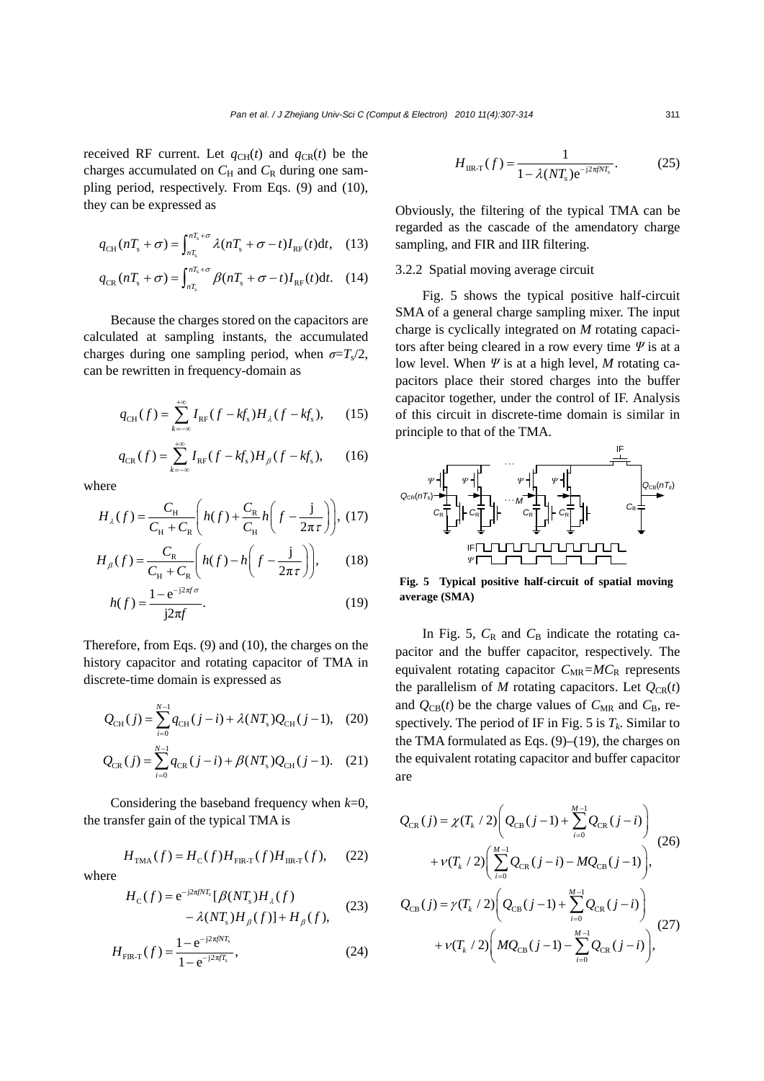received RF current. Let  $q_{CH}(t)$  and  $q_{CR}(t)$  be the charges accumulated on  $C_H$  and  $C_R$  during one sampling period, respectively. From Eqs. (9) and (10), they can be expressed as

$$
q_{\text{CH}}(nT_s + \sigma) = \int_{nT_s}^{nT_s + \sigma} \lambda(nT_s + \sigma - t) I_{\text{RF}}(t) dt, \quad (13)
$$

$$
q_{CR}(nT_s + \sigma) = \int_{nT_s}^{nT_s + \sigma} \beta(nT_s + \sigma - t) I_{RF}(t) dt. \quad (14)
$$

Because the charges stored on the capacitors are calculated at sampling instants, the accumulated charges during one sampling period, when  $\sigma = T_s/2$ , can be rewritten in frequency-domain as

$$
q_{\text{CH}}(f) = \sum_{k=-\infty}^{+\infty} I_{\text{RF}}(f - kf_s) H_{\lambda}(f - kf_s), \quad (15)
$$

$$
q_{CR}(f) = \sum_{k=-\infty}^{+\infty} I_{RF}(f - kf_s)H_{\beta}(f - kf_s), \qquad (16)
$$

where

$$
H_{\lambda}(f) = \frac{C_{\mathrm{H}}}{C_{\mathrm{H}} + C_{\mathrm{R}}} \left( h(f) + \frac{C_{\mathrm{R}}}{C_{\mathrm{H}}} h\left(f - \frac{\mathrm{j}}{2\pi\tau}\right) \right), (17)
$$

$$
H_{\beta}(f) = \frac{C_{\text{R}}}{C_{\text{H}} + C_{\text{R}}} \left( h(f) - h\left(f - \frac{\text{j}}{2\pi\tau} \right) \right), \qquad (18)
$$

$$
h(f) = \frac{1 - e^{-j2\pi f \sigma}}{j2\pi f}.
$$
\n(19)

Therefore, from Eqs. (9) and (10), the charges on the history capacitor and rotating capacitor of TMA in discrete-time domain is expressed as

$$
Q_{\text{CH}}(j) = \sum_{i=0}^{N-1} q_{\text{CH}}(j-i) + \lambda (NT_s) Q_{\text{CH}}(j-1), \quad (20)
$$

$$
Q_{CR}(j) = \sum_{i=0}^{N-1} q_{CR}(j-i) + \beta (NT_s) Q_{CH}(j-1). \quad (21)
$$

Considering the baseband frequency when *k*=0, the transfer gain of the typical TMA is

$$
H_{\text{TMA}}(f) = H_{\text{C}}(f)H_{\text{FIR-T}}(f)H_{\text{IIR-T}}(f),\tag{22}
$$

where

$$
H_{\rm C}(f) = e^{-j2\pi fNT_s} [\beta (NT_s)H_{\lambda}(f) - \lambda (NT_s)H_{\beta}(f)] + H_{\beta}(f), \tag{23}
$$

$$
H_{\text{FIR-T}}(f) = \frac{1 - e^{-j2\pi f N_s}}{1 - e^{-j2\pi f T_s}},
$$
\n(24)

$$
H_{\text{IR-T}}(f) = \frac{1}{1 - \lambda (NT_s) e^{-j2\pi jNT_s}}.
$$
 (25)

Obviously, the filtering of the typical TMA can be regarded as the cascade of the amendatory charge sampling, and FIR and IIR filtering.

### 3.2.2 Spatial moving average circuit

Fig. 5 shows the typical positive half-circuit SMA of a general charge sampling mixer. The input charge is cyclically integrated on *M* rotating capacitors after being cleared in a row every time *Ψ* is at a low level. When *Ψ* is at a high level, *M* rotating capacitors place their stored charges into the buffer capacitor together, under the control of IF. Analysis of this circuit in discrete-time domain is similar in principle to that of the TMA.



**Fig. 5 Typical positive half-circuit of spatial moving average (SMA)**

In Fig. 5,  $C_R$  and  $C_B$  indicate the rotating capacitor and the buffer capacitor, respectively. The equivalent rotating capacitor  $C_{MR} = MC_R$  represents the parallelism of  $M$  rotating capacitors. Let  $Q_{CR}(t)$ and  $Q_{CB}(t)$  be the charge values of  $C_{MR}$  and  $C_B$ , respectively. The period of IF in Fig. 5 is  $T_k$ . Similar to the TMA formulated as Eqs.  $(9)$ – $(19)$ , the charges on the equivalent rotating capacitor and buffer capacitor are

$$
Q_{\text{CR}}(j) = \chi(T_k / 2) \bigg( Q_{\text{CB}}(j-1) + \sum_{i=0}^{M-1} Q_{\text{CR}}(j-i) \bigg) + \nu(T_k / 2) \bigg( \sum_{i=0}^{M-1} Q_{\text{CR}}(j-i) - M Q_{\text{CB}}(j-1) \bigg),
$$
\n
$$
Q_{\text{CB}}(j) = \gamma(T_k / 2) \bigg( Q_{\text{CB}}(j-1) + \sum_{i=0}^{M-1} Q_{\text{CR}}(j-i) \bigg) + \nu(T_k / 2) \bigg( M Q_{\text{CB}}(j-1) - \sum_{i=0}^{M-1} Q_{\text{CR}}(j-i) \bigg),
$$
\n(27)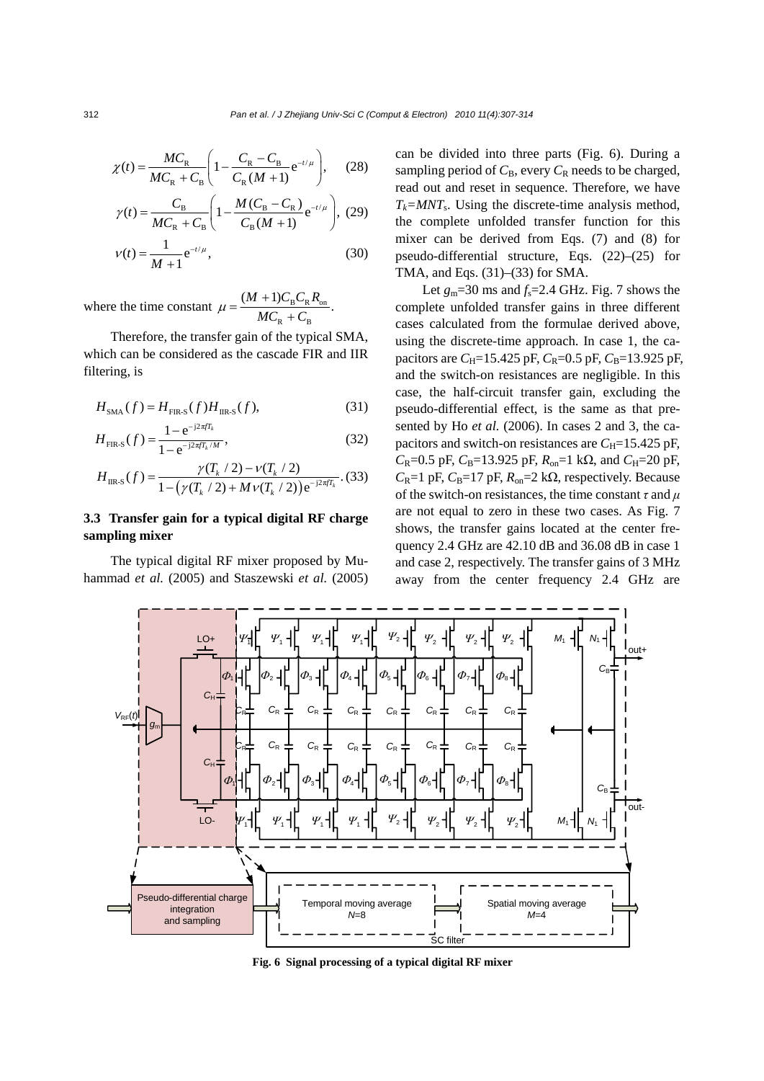$$
\chi(t) = \frac{MC_{\rm R}}{MC_{\rm R} + C_{\rm B}} \left(1 - \frac{C_{\rm R} - C_{\rm B}}{C_{\rm R}(M+1)} e^{-t/\mu}\right),\tag{28}
$$

$$
M_{\rm C_R} + C_{\rm B} \left( 1 - \frac{K_{\rm R} (M + 1)}{C_{\rm R} (M + 1)} \right)
$$
  

$$
\gamma(t) = \frac{C_{\rm B}}{M_{\rm C_R} + C_{\rm B}} \left( 1 - \frac{M (C_{\rm B} - C_{\rm R})}{C_{\rm B} (M + 1)} e^{-t/\mu} \right), (29)
$$
  

$$
\gamma(t) = \frac{1}{M + 1} e^{-t/\mu}, (30)
$$

where the time constant  $\mu = \frac{(M + 1)C_B C_R A_{on}}{1.5}$  $_{R}$  +  $C_{B}$  $\frac{(M+1)C_{\rm B}C_{\rm R}R_{\rm on}}{M}$  $\mu = \frac{(M+1)C_{\rm B}C_1}{MC_{\rm R} + C}$ 

Therefore, the transfer gain of the typical SMA, which can be considered as the cascade FIR and IIR filtering, is

$$
H_{\text{SMA}}(f) = H_{\text{FIR-S}}(f)H_{\text{IR-S}}(f),\tag{31}
$$

$$
H_{\rm FIR\text{-}S}(f) = \frac{1 - e^{-j2\pi f_k}}{1 - e^{-j2\pi f_k/M}},
$$
\n(32)

$$
H_{\text{IIR-S}}(f) = \frac{\gamma(T_k / 2) - \nu(T_k / 2)}{1 - (\gamma(T_k / 2) + M \nu(T_k / 2)) e^{-j2\pi f T_k}}.
$$
(33)

## **3.3 Transfer gain for a typical digital RF charge sampling mixer**

The typical digital RF mixer proposed by Muhammad *et al.* (2005) and Staszewski *et al.* (2005) can be divided into three parts (Fig. 6). During a sampling period of  $C_B$ , every  $C_R$  needs to be charged, read out and reset in sequence. Therefore, we have  $T_k = MNT_s$ . Using the discrete-time analysis method, the complete unfolded transfer function for this mixer can be derived from Eqs. (7) and (8) for pseudo-differential structure, Eqs. (22)–(25) for TMA, and Eqs. (31)–(33) for SMA.

Let  $g_m$ =30 ms and  $f_s$ =2.4 GHz. Fig. 7 shows the complete unfolded transfer gains in three different cases calculated from the formulae derived above, using the discrete-time approach. In case 1, the capacitors are  $C_H$ =15.425 pF,  $C_R$ =0.5 pF,  $C_B$ =13.925 pF, and the switch-on resistances are negligible. In this case, the half-circuit transfer gain, excluding the pseudo-differential effect, is the same as that presented by Ho *et al.* (2006). In cases 2 and 3, the capacitors and switch-on resistances are  $C_H$ =15.425 pF, *C*<sub>R</sub>=0.5 pF, *C*<sub>B</sub>=13.925 pF, *R*<sub>on</sub>=1 kΩ, and *C*<sub>H</sub>=20 pF,  $C_R$ =1 pF,  $C_R$ =17 pF,  $R_{on}$ =2 k $\Omega$ , respectively. Because of the switch-on resistances, the time constant *τ* and *μ* are not equal to zero in these two cases. As Fig. 7 shows, the transfer gains located at the center frequency 2.4 GHz are 42.10 dB and 36.08 dB in case 1 and case 2, respectively. The transfer gains of 3 MHz away from the center frequency 2.4 GHz are



**Fig. 6 Signal processing of a typical digital RF mixer** 

312 *Pan et al. / J Zhejiang Univ-Sci C (Comput & Electron) 2010 11(4):307-314*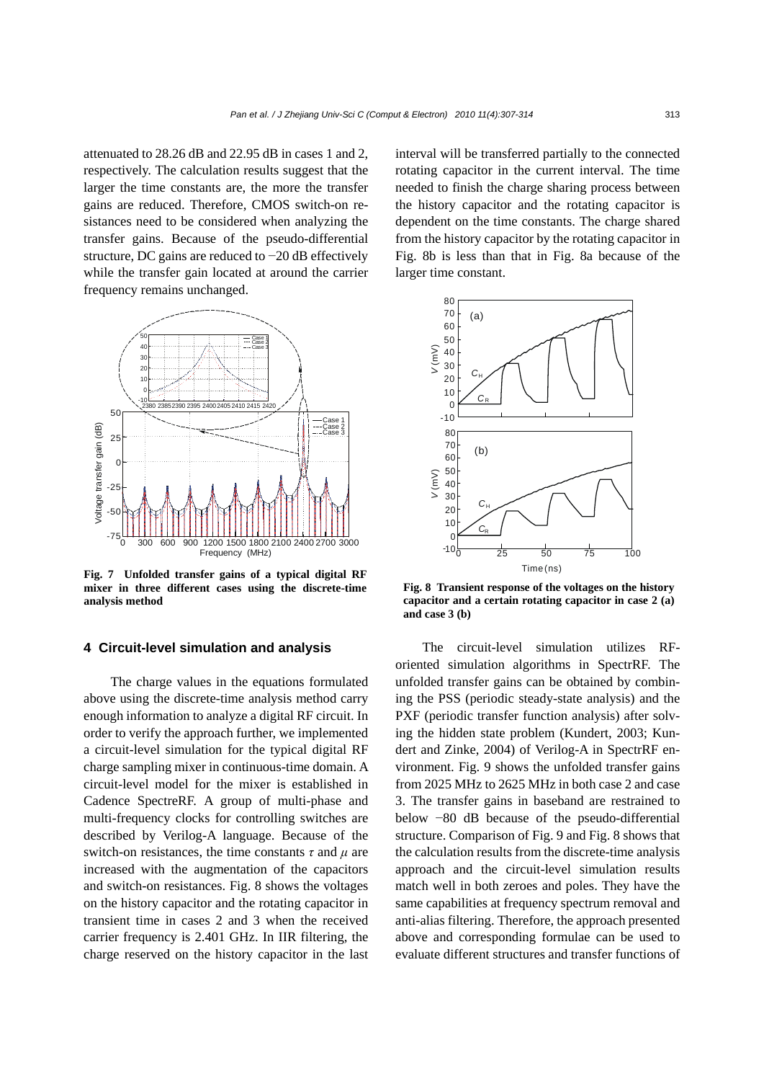attenuated to 28.26 dB and 22.95 dB in cases 1 and 2, respectively. The calculation results suggest that the larger the time constants are, the more the transfer gains are reduced. Therefore, CMOS switch-on resistances need to be considered when analyzing the transfer gains. Because of the pseudo-differential structure, DC gains are reduced to −20 dB effectively while the transfer gain located at around the carrier frequency remains unchanged.



**Fig. 7 Unfolded transfer gains of a typical digital RF mixer in three different cases using the discrete-time analysis method**

## **4 Circuit-level simulation and analysis**

The charge values in the equations formulated above using the discrete-time analysis method carry enough information to analyze a digital RF circuit. In order to verify the approach further, we implemented a circuit-level simulation for the typical digital RF charge sampling mixer in continuous-time domain. A circuit-level model for the mixer is established in Cadence SpectreRF. A group of multi-phase and multi-frequency clocks for controlling switches are described by Verilog-A language. Because of the switch-on resistances, the time constants *τ* and *μ* are increased with the augmentation of the capacitors and switch-on resistances. Fig. 8 shows the voltages on the history capacitor and the rotating capacitor in transient time in cases 2 and 3 when the received carrier frequency is 2.401 GHz. In IIR filtering, the charge reserved on the history capacitor in the last interval will be transferred partially to the connected rotating capacitor in the current interval. The time needed to finish the charge sharing process between the history capacitor and the rotating capacitor is dependent on the time constants. The charge shared from the history capacitor by the rotating capacitor in Fig. 8b is less than that in Fig. 8a because of the larger time constant.



**Fig. 8 Transient response of the voltages on the history capacitor and a certain rotating capacitor in case 2 (a) and case 3 (b)** 

The circuit-level simulation utilizes RForiented simulation algorithms in SpectrRF. The unfolded transfer gains can be obtained by combining the PSS (periodic steady-state analysis) and the PXF (periodic transfer function analysis) after solving the hidden state problem (Kundert, 2003; Kundert and Zinke, 2004) of Verilog-A in SpectrRF environment. Fig. 9 shows the unfolded transfer gains from 2025 MHz to 2625 MHz in both case 2 and case 3. The transfer gains in baseband are restrained to below −80 dB because of the pseudo-differential structure. Comparison of Fig. 9 and Fig. 8 shows that the calculation results from the discrete-time analysis approach and the circuit-level simulation results match well in both zeroes and poles. They have the same capabilities at frequency spectrum removal and anti-alias filtering. Therefore, the approach presented above and corresponding formulae can be used to evaluate different structures and transfer functions of